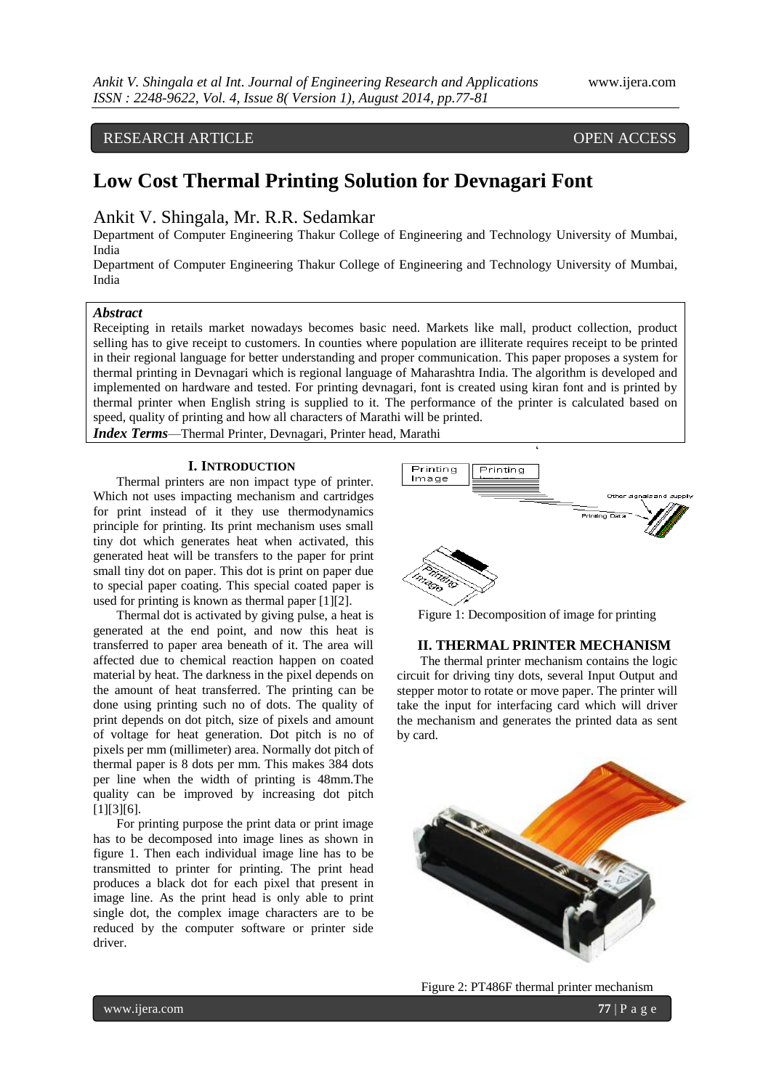## RESEARCH ARTICLE OPEN ACCESS

# **Low Cost Thermal Printing Solution for Devnagari Font**

## Ankit V. Shingala, Mr. R.R. Sedamkar

Department of Computer Engineering Thakur College of Engineering and Technology University of Mumbai, India

Department of Computer Engineering Thakur College of Engineering and Technology University of Mumbai, India

### *Abstract*

Receipting in retails market nowadays becomes basic need. Markets like mall, product collection, product selling has to give receipt to customers. In counties where population are illiterate requires receipt to be printed in their regional language for better understanding and proper communication. This paper proposes a system for thermal printing in Devnagari which is regional language of Maharashtra India. The algorithm is developed and implemented on hardware and tested. For printing devnagari, font is created using kiran font and is printed by thermal printer when English string is supplied to it. The performance of the printer is calculated based on speed, quality of printing and how all characters of Marathi will be printed.

*Index Terms*—Thermal Printer, Devnagari, Printer head, Marathi

### **I. INTRODUCTION**

Thermal printers are non impact type of printer. Which not uses impacting mechanism and cartridges for print instead of it they use thermodynamics principle for printing. Its print mechanism uses small tiny dot which generates heat when activated, this generated heat will be transfers to the paper for print small tiny dot on paper. This dot is print on paper due to special paper coating. This special coated paper is used for printing is known as thermal paper [1][2].

Thermal dot is activated by giving pulse, a heat is generated at the end point, and now this heat is transferred to paper area beneath of it. The area will affected due to chemical reaction happen on coated material by heat. The darkness in the pixel depends on the amount of heat transferred. The printing can be done using printing such no of dots. The quality of print depends on dot pitch, size of pixels and amount of voltage for heat generation. Dot pitch is no of pixels per mm (millimeter) area. Normally dot pitch of thermal paper is 8 dots per mm. This makes 384 dots per line when the width of printing is 48mm.The quality can be improved by increasing dot pitch [1][3][6].

For printing purpose the print data or print image has to be decomposed into image lines as shown in figure 1. Then each individual image line has to be transmitted to printer for printing. The print head produces a black dot for each pixel that present in image line. As the print head is only able to print single dot, the complex image characters are to be reduced by the computer software or printer side driver.



Figure 1: Decomposition of image for printing

### **II. THERMAL PRINTER MECHANISM**

The thermal printer mechanism contains the logic circuit for driving tiny dots, several Input Output and stepper motor to rotate or move paper. The printer will take the input for interfacing card which will driver the mechanism and generates the printed data as sent by card.



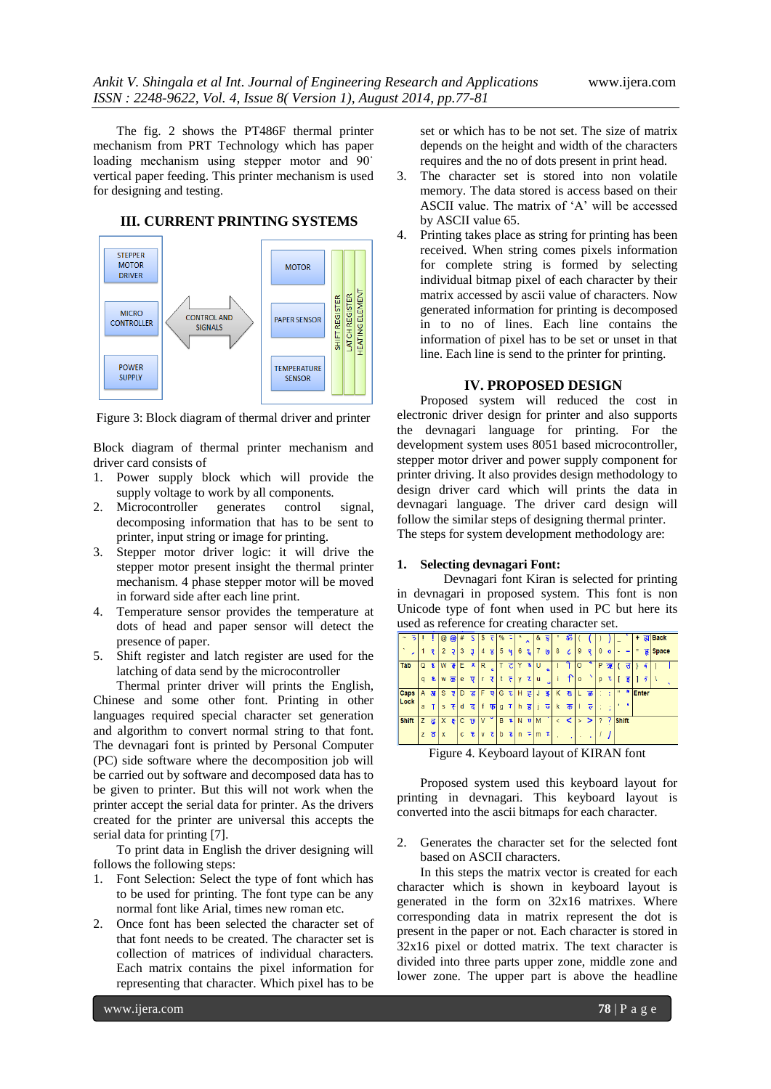The fig. 2 shows the PT486F thermal printer mechanism from PRT Technology which has paper loading mechanism using stepper motor and 90<sup>°</sup> vertical paper feeding. This printer mechanism is used for designing and testing.



# **III. CURRENT PRINTING SYSTEMS**

Figure 3: Block diagram of thermal driver and printer

Block diagram of thermal printer mechanism and driver card consists of

- 1. Power supply block which will provide the supply voltage to work by all components.
- 2. Microcontroller generates control signal, decomposing information that has to be sent to printer, input string or image for printing.
- 3. Stepper motor driver logic: it will drive the stepper motor present insight the thermal printer mechanism. 4 phase stepper motor will be moved in forward side after each line print.
- 4. Temperature sensor provides the temperature at dots of head and paper sensor will detect the presence of paper.
- 5. Shift register and latch register are used for the latching of data send by the microcontroller

Thermal printer driver will prints the English, Chinese and some other font. Printing in other languages required special character set generation and algorithm to convert normal string to that font. The devnagari font is printed by Personal Computer (PC) side software where the decomposition job will be carried out by software and decomposed data has to be given to printer. But this will not work when the printer accept the serial data for printer. As the drivers created for the printer are universal this accepts the serial data for printing [7].

To print data in English the driver designing will follows the following steps:

- 1. Font Selection: Select the type of font which has to be used for printing. The font type can be any normal font like Arial, times new roman etc.
- 2. Once font has been selected the character set of that font needs to be created. The character set is collection of matrices of individual characters. Each matrix contains the pixel information for representing that character. Which pixel has to be

set or which has to be not set. The size of matrix depends on the height and width of the characters requires and the no of dots present in print head.

- 3. The character set is stored into non volatile memory. The data stored is access based on their ASCII value. The matrix of 'A' will be accessed by ASCII value 65.
- 4. Printing takes place as string for printing has been received. When string comes pixels information for complete string is formed by selecting individual bitmap pixel of each character by their matrix accessed by ascii value of characters. Now generated information for printing is decomposed in to no of lines. Each line contains the information of pixel has to be set or unset in that line. Each line is send to the printer for printing.

### **IV. PROPOSED DESIGN**

Proposed system will reduced the cost in electronic driver design for printer and also supports the devnagari language for printing. For the development system uses 8051 based microcontroller, stepper motor driver and power supply component for printer driving. It also provides design methodology to design driver card which will prints the data in devnagari language. The driver card design will follow the similar steps of designing thermal printer. The steps for system development methodology are:

### **1. Selecting devnagari Font:**

Devnagari font Kiran is selected for printing in devnagari in proposed system. This font is non Unicode type of font when used in PC but here its used as reference for creating character set.

|                   |   |                     |                         |                     |              |   |   |                         |   |                      |                |                         |   | $\check{ }$               |   |    |              |                           |                |         |              |                |              |           |              |  |
|-------------------|---|---------------------|-------------------------|---------------------|--------------|---|---|-------------------------|---|----------------------|----------------|-------------------------|---|---------------------------|---|----|--------------|---------------------------|----------------|---------|--------------|----------------|--------------|-----------|--------------|--|
| 5                 |   |                     | @                       | $\circledcirc$      | #            | S | s | ₹                       | % | τ                    |                | $\hat{\phantom{a}}$     | & | $\overline{\overline{s}}$ |   | ॐ  |              |                           |                |         |              |                | ÷            | ह्य।      | <b>Back</b>  |  |
| $\mathbf{A}$<br>, |   |                     |                         | Ģ                   | 3            | 3 | 4 | $\boldsymbol{g}$        | 5 | 4                    | 6              | ٤.                      | 7 | $\mathbf{Q}$              | 8 | ι  | 9            | $\circ$                   | 0              | $\circ$ |              |                |              | हृ        | <b>Space</b> |  |
| Tab               | ω | £                   | W                       | 7                   | E            | 叉 | R | $\epsilon$              |   | ट                    |                | ĸ                       | U | $\alpha$                  |   |    | O            |                           | P              | 弬       |              |                |              |           |              |  |
|                   | a | ৼ                   | W                       | $\overline{\infty}$ | e            | ⊽ |   | ₹                       |   | ٢                    | ۷              | τ                       | u | $\bullet$                 |   |    | $\mathbf{0}$ |                           | D              | τ       |              | दु             |              | $\bar{2}$ |              |  |
| <b>Caps</b>       | A | $\overline{3}$      | s                       | y                   | D            | ड | F | ₩                       | G | E                    | ۱н             | 3                       | J | डु                        | Κ | रू |              | ळ                         |                | t       | $\mathbf{u}$ | $\blacksquare$ | <b>Enter</b> |           |              |  |
| Lock              | a |                     | s                       | ∓                   | d            | द |   | फ                       | g | т                    | h              | ह                       |   | ᢎ                         | k | क  |              | $\overline{\overline{c}}$ |                |         |              |                |              |           |              |  |
| <b>Shift</b>      | z | ढ                   | X                       | 4                   | $\mathbf{C}$ | छ | ۷ | $\overline{\mathbf{v}}$ | B | Ŧ                    | N              | $\overline{\mathbf{u}}$ | M |                           |   | ≺  |              | >                         | $\overline{2}$ | 7       | <b>Shift</b> |                |              |           |              |  |
|                   | z | $\overline{\sigma}$ | $\mathsf{I} \mathsf{x}$ |                     | c            | 玉 | v | $\overline{c}$          | b | $\overline{\bullet}$ | $\overline{p}$ | ÷                       | m | Ŧ                         |   |    |              |                           |                |         |              |                |              |           |              |  |

Figure 4. Keyboard layout of KIRAN font

Proposed system used this keyboard layout for printing in devnagari. This keyboard layout is converted into the ascii bitmaps for each character.

2. Generates the character set for the selected font based on ASCII characters.

In this steps the matrix vector is created for each character which is shown in keyboard layout is generated in the form on 32x16 matrixes. Where corresponding data in matrix represent the dot is present in the paper or not. Each character is stored in 32x16 pixel or dotted matrix. The text character is divided into three parts upper zone, middle zone and lower zone. The upper part is above the headline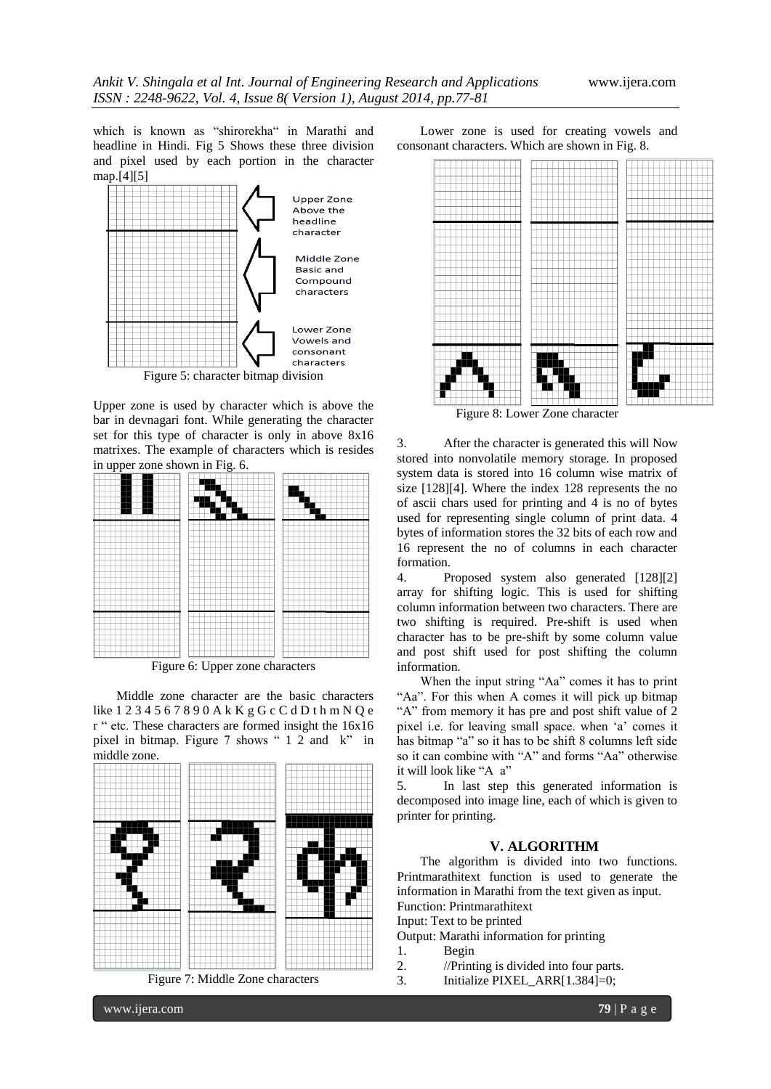which is known as "shirorekha" in Marathi and headline in Hindi. Fig 5 Shows these three division and pixel used by each portion in the character map.[4][5]



Upper zone is used by character which is above the bar in devnagari font. While generating the character set for this type of character is only in above 8x16 matrixes. The example of characters which is resides in upper zone shown in Fig. 6.



Figure 6: Upper zone characters

Middle zone character are the basic characters like 1 2 3 4 5 6 7 8 9 0 A k K g G c C d D t h m N Q e r " etc. These characters are formed insight the 16x16 pixel in bitmap. Figure 7 shows " 1 2 and k" in middle zone.



Figure 7: Middle Zone characters

Lower zone is used for creating vowels and consonant characters. Which are shown in Fig. 8.



Figure 8: Lower Zone character

3. After the character is generated this will Now stored into nonvolatile memory storage. In proposed system data is stored into 16 column wise matrix of size [128][4]. Where the index 128 represents the no of ascii chars used for printing and 4 is no of bytes used for representing single column of print data. 4 bytes of information stores the 32 bits of each row and 16 represent the no of columns in each character formation.

4. Proposed system also generated [128][2] array for shifting logic. This is used for shifting column information between two characters. There are two shifting is required. Pre-shift is used when character has to be pre-shift by some column value and post shift used for post shifting the column information.

When the input string "Aa" comes it has to print "Aa". For this when A comes it will pick up bitmap "A" from memory it has pre and post shift value of 2 pixel i.e. for leaving small space. when "a" comes it has bitmap "a" so it has to be shift 8 columns left side so it can combine with "A" and forms "Aa" otherwise it will look like "A a"

5. In last step this generated information is decomposed into image line, each of which is given to printer for printing.

### **V. ALGORITHM**

The algorithm is divided into two functions. Printmarathitext function is used to generate the information in Marathi from the text given as input. Function: Printmarathitext

Input: Text to be printed

Output: Marathi information for printing

- 1. Begin
- 2. //Printing is divided into four parts.
- 3. Initialize PIXEL\_ARR[1.384]=0;

www.ijera.com **79** | P a g e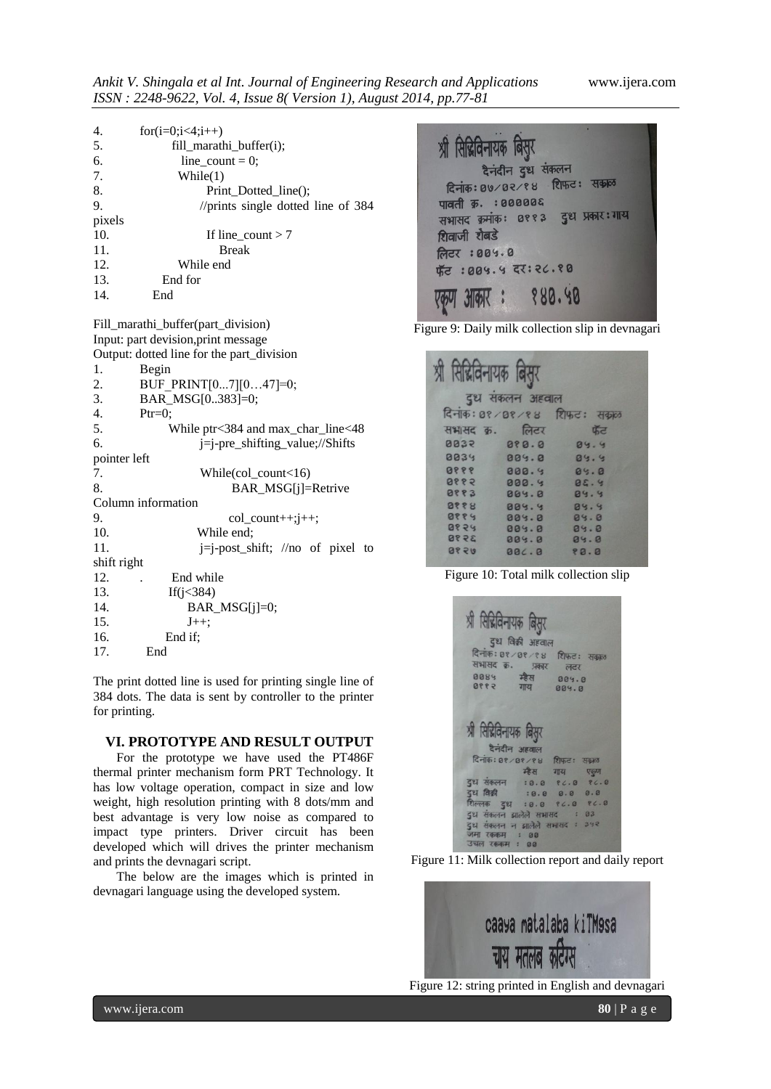| 4.     | for(i=0;i<4;i++)                     |
|--------|--------------------------------------|
| 5.     | fill_marathi_buffer(i);              |
| 6.     | line count = $0$ ;                   |
| 7.     | While(1)                             |
| 8.     | Print_Dotted_line();                 |
| 9.     | //prints single dotted line of $384$ |
| pixels |                                      |
| 10.    | If line_count $> 7$                  |
| 11.    | <b>Break</b>                         |
| 12.    | While end                            |
| 13.    | End for                              |
| 14.    | End                                  |

Fill\_marathi\_buffer(part\_division) Input: part devision,print message Output: dotted line for the part\_division 1. Begin 2. BUF\_PRINT[0...7][0...47]=0; 3. BAR\_MSG[0..383]=0; 4. Ptr=0; 5. While ptr<384 and max\_char\_line<48 6. j=j-pre\_shifting\_value;//Shifts pointer left 7. While(col count<16) 8. BAR\_MSG[j]=Retrive Column information 9. col count $+$ ; $j+$ ; 10. While end; 11.  $i=j-post shift$ ; //no of pixel to shift right 12. . End while 13. If(j<384) 14. **BAR\_MSG[j]=0;** 15.  $J_{++}$ ; 16. End if; 17. End

The print dotted line is used for printing single line of 384 dots. The data is sent by controller to the printer for printing.

### **VI. PROTOTYPE AND RESULT OUTPUT**

For the prototype we have used the PT486F thermal printer mechanism form PRT Technology. It has low voltage operation, compact in size and low weight, high resolution printing with 8 dots/mm and best advantage is very low noise as compared to impact type printers. Driver circuit has been developed which will drives the printer mechanism and prints the devnagari script.

The below are the images which is printed in devnagari language using the developed system.



Figure 9: Daily milk collection slip in devnagari

| श्री सिद्मिविनायक बिसुर | दुध संकलन अहवाल |                              |
|-------------------------|-----------------|------------------------------|
|                         |                 | दिनांक: 0१/0१/१४ शिफ़ट: सकाल |
| सभासद क्र. लिटर         |                 | फॅट                          |
| 8832                    | 080.0           | 89.9                         |
| 0034                    | 009.0           | 04.4                         |
| 8888                    | 000.9           | 85.8                         |
| 8885                    | 000.9           | 95.9                         |
| 8883                    | 009.0           | 04.4                         |
| 8888                    | 004.4           | 88.8                         |
| 9884                    | 009.0           | 89.8                         |
| 8858                    | 009.0           | 84.8                         |
| 3998                    | 009.0           | 84.8                         |
| 9858                    | BC.8            | 88.8                         |

Figure 10: Total milk collection slip

| श्री सिद्रिविनायक बिसर<br>दुध विक्री अहवाल                                            |  |
|---------------------------------------------------------------------------------------|--|
| दिनांक: 0१/0१/१४ शिफ़ट: सक्कल                                                         |  |
| सभासद क. प्रकार लटर                                                                   |  |
| 8884 楼村 884.8<br>8992 774 884.8                                                       |  |
|                                                                                       |  |
|                                                                                       |  |
| श्री सिद्धिविनायक बिसुर                                                               |  |
| दैनंदीन अहवाल                                                                         |  |
|                                                                                       |  |
|                                                                                       |  |
| दिनांक: ०१/०१/१४ शिफ़ट: सकाल                                                          |  |
| म्हेस गाय एकुण<br>दुध संकलन : 0.0 १८.० १८.०                                           |  |
|                                                                                       |  |
| दुध विक्री : 0.0 0.0 0.0<br>शिल्लक दुध : 0.0 १८.० १८.०<br>दुध संकलन झालेले सभासद : 03 |  |





Figure 12: string printed in English and devnagari